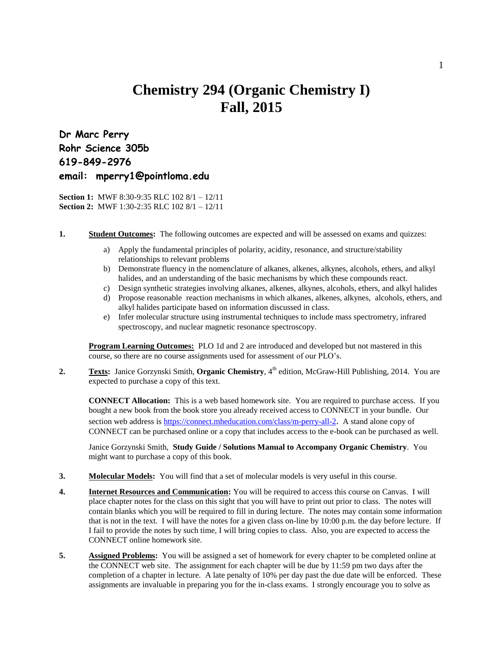## **Chemistry 294 (Organic Chemistry I) Fall, 2015**

**Dr Marc Perry Rohr Science 305b 619-849-2976 email: mperry1@pointloma.edu**

**Section 1:** MWF 8:30-9:35 RLC 102 8/1 – 12/11 **Section 2:** MWF 1:30-2:35 RLC 102 8/1 – 12/11

- **1. Student Outcomes:** The following outcomes are expected and will be assessed on exams and quizzes:
	- a) Apply the fundamental principles of polarity, acidity, resonance, and structure/stability relationships to relevant problems
	- b) Demonstrate fluency in the nomenclature of alkanes, alkenes, alkynes, alcohols, ethers, and alkyl halides, and an understanding of the basic mechanisms by which these compounds react.
	- c) Design synthetic strategies involving alkanes, alkenes, alkynes, alcohols, ethers, and alkyl halides
	- d) Propose reasonable reaction mechanisms in which alkanes, alkenes, alkynes, alcohols, ethers, and alkyl halides participate based on information discussed in class.
	- e) Infer molecular structure using instrumental techniques to include mass spectrometry, infrared spectroscopy, and nuclear magnetic resonance spectroscopy.

**Program Learning Outcomes:** PLO 1d and 2 are introduced and developed but not mastered in this course, so there are no course assignments used for assessment of our PLO's.

2. **Texts:** Janice Gorzynski Smith, **Organic Chemistry**, 4<sup>th</sup> edition, McGraw-Hill Publishing, 2014. You are expected to purchase a copy of this text.

**CONNECT Allocation:** This is a web based homework site. You are required to purchase access. If you bought a new book from the book store you already received access to CONNECT in your bundle. Our section web address is <https://connect.mheducation.com/class/m-perry-all-2>. A stand alone copy of CONNECT can be purchased online or a copy that includes access to the e-book can be purchased as well.

Janice Gorzynski Smith, **Study Guide / Solutions Manual to Accompany Organic Chemistry**. You might want to purchase a copy of this book.

- **3. Molecular Models:** You will find that a set of molecular models is very useful in this course.
- **4. Internet Resources and Communication:** You will be required to access this course on Canvas. I will place chapter notes for the class on this sight that you will have to print out prior to class. The notes will contain blanks which you will be required to fill in during lecture. The notes may contain some information that is not in the text. I will have the notes for a given class on-line by 10:00 p.m. the day before lecture. If I fail to provide the notes by such time, I will bring copies to class. Also, you are expected to access the CONNECT online homework site.
- **5.** Assigned Problems: You will be assigned a set of homework for every chapter to be completed online at the CONNECT web site. The assignment for each chapter will be due by 11:59 pm two days after the completion of a chapter in lecture. A late penalty of 10% per day past the due date will be enforced. These assignments are invaluable in preparing you for the in-class exams. I strongly encourage you to solve as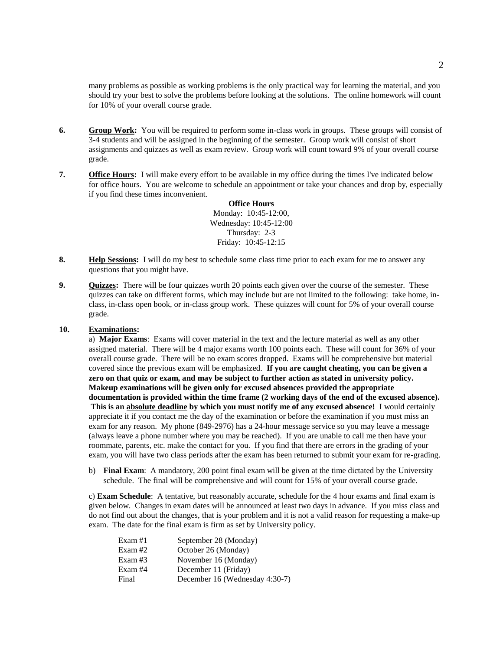many problems as possible as working problems is the only practical way for learning the material, and you should try your best to solve the problems before looking at the solutions. The online homework will count for 10% of your overall course grade.

- **6. Group Work:** You will be required to perform some in-class work in groups. These groups will consist of 3-4 students and will be assigned in the beginning of the semester. Group work will consist of short assignments and quizzes as well as exam review. Group work will count toward 9% of your overall course grade.
- **7. Office Hours:** I will make every effort to be available in my office during the times I've indicated below for office hours. You are welcome to schedule an appointment or take your chances and drop by, especially if you find these times inconvenient.

**Office Hours** Monday: 10:45-12:00, Wednesday: 10:45-12:00 Thursday: 2-3 Friday: 10:45-12:15

- **8. Help Sessions:** I will do my best to schedule some class time prior to each exam for me to answer any questions that you might have.
- **9. Quizzes:** There will be four quizzes worth 20 points each given over the course of the semester. These quizzes can take on different forms, which may include but are not limited to the following: take home, inclass, in-class open book, or in-class group work. These quizzes will count for 5% of your overall course grade.

## **10. Examinations:**

a) **Major Exams**: Exams will cover material in the text and the lecture material as well as any other assigned material. There will be 4 major exams worth 100 points each. These will count for 36% of your overall course grade. There will be no exam scores dropped. Exams will be comprehensive but material covered since the previous exam will be emphasized. **If you are caught cheating, you can be given a zero on that quiz or exam, and may be subject to further action as stated in university policy. Makeup examinations will be given only for excused absences provided the appropriate documentation is provided within the time frame (2 working days of the end of the excused absence). This is an absolute deadline by which you must notify me of any excused absence!** I would certainly appreciate it if you contact me the day of the examination or before the examination if you must miss an exam for any reason. My phone (849-2976) has a 24-hour message service so you may leave a message (always leave a phone number where you may be reached). If you are unable to call me then have your roommate, parents, etc. make the contact for you. If you find that there are errors in the grading of your exam, you will have two class periods after the exam has been returned to submit your exam for re-grading.

b) **Final Exam**: A mandatory, 200 point final exam will be given at the time dictated by the University schedule. The final will be comprehensive and will count for 15% of your overall course grade.

c) **Exam Schedule**: A tentative, but reasonably accurate, schedule for the 4 hour exams and final exam is given below. Changes in exam dates will be announced at least two days in advance. If you miss class and do not find out about the changes, that is your problem and it is not a valid reason for requesting a make-up exam. The date for the final exam is firm as set by University policy.

| Exam #1   | September 28 (Monday)          |
|-----------|--------------------------------|
| Exam#2    | October 26 (Monday)            |
| Exam $#3$ | November 16 (Monday)           |
| Exam #4   | December 11 (Friday)           |
| Final     | December 16 (Wednesday 4:30-7) |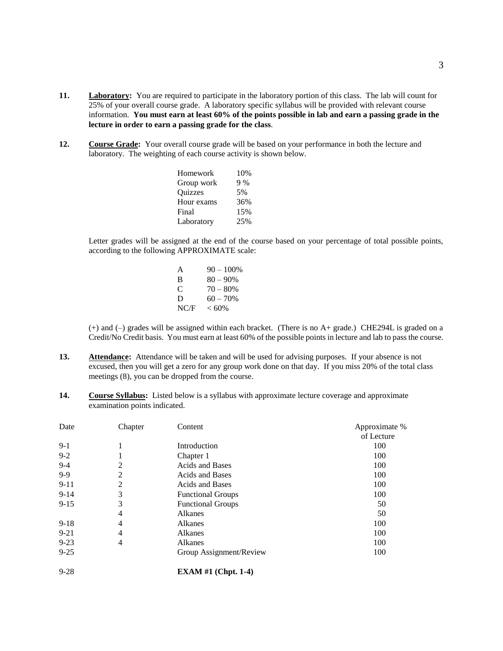- **11. Laboratory:** You are required to participate in the laboratory portion of this class. The lab will count for 25% of your overall course grade. A laboratory specific syllabus will be provided with relevant course information. **You must earn at least 60% of the points possible in lab and earn a passing grade in the lecture in order to earn a passing grade for the class**.
- **12. Course Grade:** Your overall course grade will be based on your performance in both the lecture and laboratory. The weighting of each course activity is shown below.

| Homework   | 10% |
|------------|-----|
| Group work | 9%  |
| Quizzes    | 5%  |
| Hour exams | 36% |
| Final      | 15% |
| Laboratory | 25% |

Letter grades will be assigned at the end of the course based on your percentage of total possible points, according to the following APPROXIMATE scale:

| A    | $90 - 100\%$ |
|------|--------------|
| В    | $80 - 90%$   |
| C    | $70 - 80%$   |
| D    | $60 - 70%$   |
| NC/F | $< 60\%$     |

(+) and (–) grades will be assigned within each bracket. (There is no A+ grade.) CHE294L is graded on a Credit/No Credit basis. You must earn at least 60% of the possible points in lecture and lab to pass the course.

- **13. Attendance:** Attendance will be taken and will be used for advising purposes. If your absence is not excused, then you will get a zero for any group work done on that day. If you miss 20% of the total class meetings (8), you can be dropped from the course.
- **14. Course Syllabus:** Listed below is a syllabus with approximate lecture coverage and approximate examination points indicated.

| Date     | Chapter | Content                  | Approximate % |
|----------|---------|--------------------------|---------------|
|          |         |                          | of Lecture    |
| $9-1$    |         | Introduction             | 100           |
| $9 - 2$  |         | Chapter 1                | 100           |
| $9-4$    | 2       | <b>Acids and Bases</b>   | 100           |
| $9-9$    | 2       | <b>Acids and Bases</b>   | 100           |
| $9 - 11$ | 2       | <b>Acids and Bases</b>   | 100           |
| $9 - 14$ | 3       | <b>Functional Groups</b> | 100           |
| $9 - 15$ | 3       | <b>Functional Groups</b> | 50            |
|          | 4       | Alkanes                  | 50            |
| $9-18$   | 4       | Alkanes                  | 100           |
| $9 - 21$ | 4       | Alkanes                  | 100           |
| $9 - 23$ | 4       | Alkanes                  | 100           |
| $9 - 25$ |         | Group Assignment/Review  | 100           |
| $9 - 28$ |         | EXAM $#1$ (Chpt. 1-4)    |               |